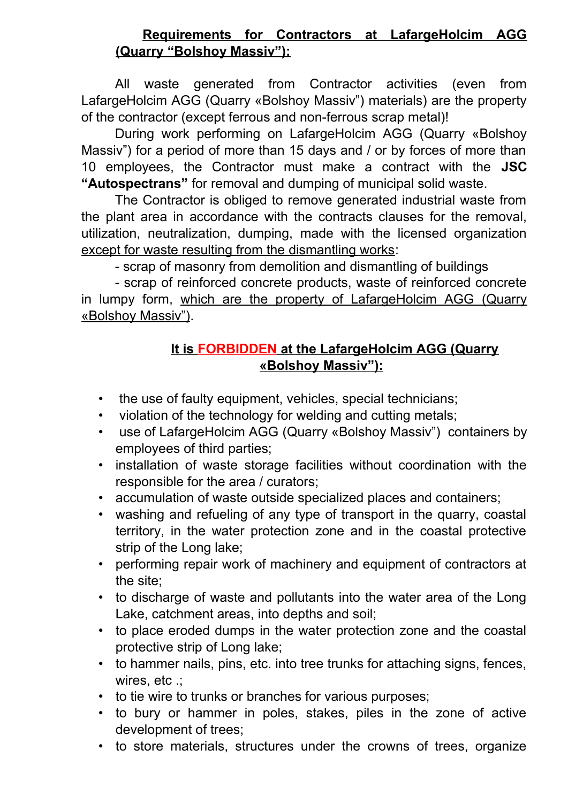## **Requirements for Contractors at LafargeHolcim AGG (Quarry "Bolshoy Massiv"):**

All waste generated from Contractor activities (even from LafargeHolcim AGG (Quarry «Bolshoy Massiv") materials) are the property of the contractor (except ferrous and non-ferrous scrap metal)!

During work performing on LafargeHolcim AGG (Quarry «Bolshoy Massiv") for a period of more than 15 days and / or by forces of more than 10 employees, the Contractor must make a contract with the **JSC "Autospectrans"** for removal and dumping of municipal solid waste.

The Contractor is obliged to remove generated industrial waste from the plant area in accordance with the contracts clauses for the removal, utilization, neutralization, dumping, made with the licensed organization except for waste resulting from the dismantling works:

- scrap of masonry from demolition and dismantling of buildings

- scrap of reinforced concrete products, waste of reinforced concrete in lumpy form, which are the property of LafargeHolcim AGG (Quarry «Bolshoy Massiv").

## **It is FORBIDDEN at the LafargeHolcim AGG (Quarry «Bolshoy Massiv"):**

- the use of faulty equipment, vehicles, special technicians;
- violation of the technology for welding and cutting metals;
- use of LafargeHolcim AGG (Quarry «Bolshoy Massiv") containers by employees of third parties;
- installation of waste storage facilities without coordination with the responsible for the area / curators;
- accumulation of waste outside specialized places and containers;
- washing and refueling of any type of transport in the quarry, coastal territory, in the water protection zone and in the coastal protective strip of the Long lake;
- performing repair work of machinery and equipment of contractors at the site;
- to discharge of waste and pollutants into the water area of the Long Lake, catchment areas, into depths and soil;
- to place eroded dumps in the water protection zone and the coastal protective strip of Long lake;
- to hammer nails, pins, etc. into tree trunks for attaching signs, fences, wires, etc .;
- to tie wire to trunks or branches for various purposes;
- to bury or hammer in poles, stakes, piles in the zone of active development of trees;
- to store materials, structures under the crowns of trees, organize